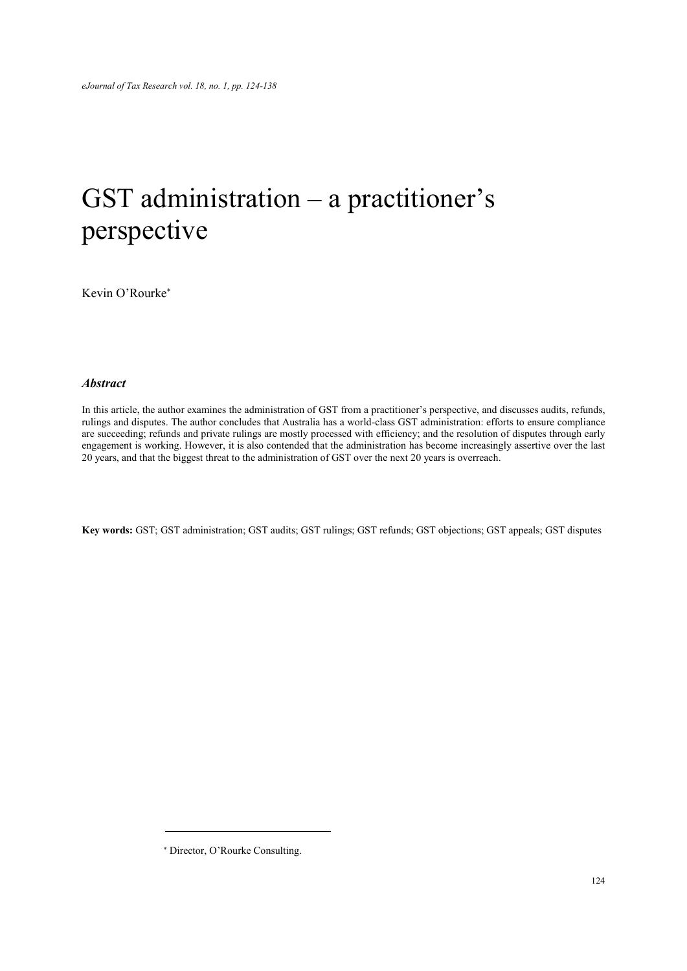# GST administration – a practitioner's perspective

Kevin O'Rourke

#### **Abstract**

In this article, the author examines the administration of GST from a practitioner's perspective, and discusses audits, refunds, rulings and disputes. The author concludes that Australia has a world-class GST administration: efforts to ensure compliance are succeeding; refunds and private rulings are mostly processed with efficiency; and the resolution of disputes through early engagement is working. However, it is also contended that the administration has become increasingly assertive over the last 20 years, and that the biggest threat to the administration of GST over the next 20 years is overreach.

Key words: GST; GST administration; GST audits; GST rulings; GST refunds; GST objections; GST appeals; GST disputes

 Director, O'Rourke Consulting.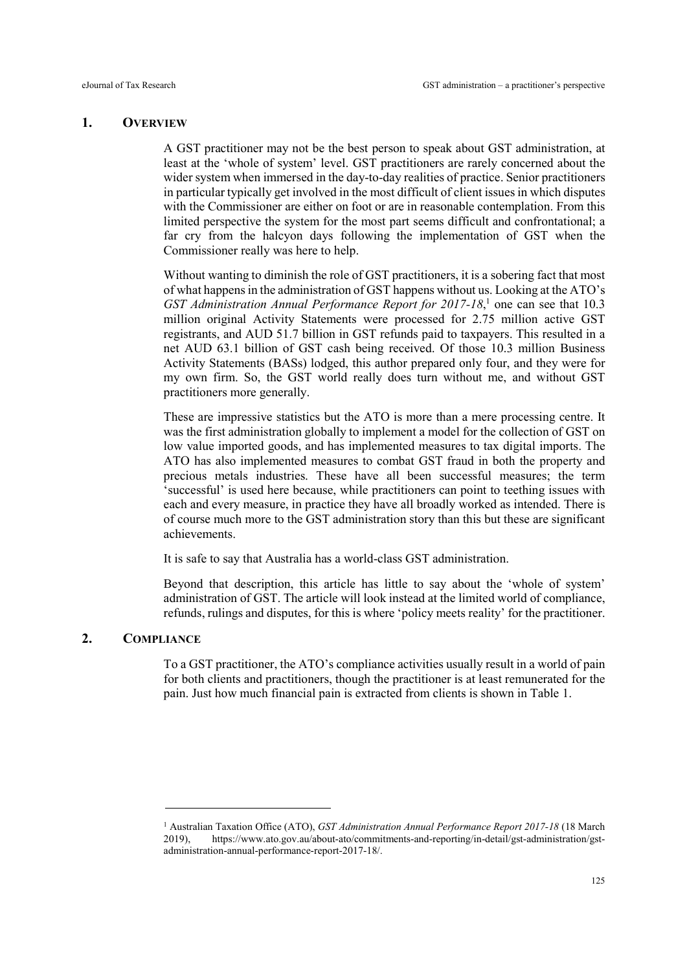# 1. OVERVIEW

A GST practitioner may not be the best person to speak about GST administration, at least at the 'whole of system' level. GST practitioners are rarely concerned about the wider system when immersed in the day-to-day realities of practice. Senior practitioners in particular typically get involved in the most difficult of client issues in which disputes with the Commissioner are either on foot or are in reasonable contemplation. From this limited perspective the system for the most part seems difficult and confrontational; a far cry from the halcyon days following the implementation of GST when the Commissioner really was here to help.

Without wanting to diminish the role of GST practitioners, it is a sobering fact that most of what happens in the administration of GST happens without us. Looking at the ATO's GST Administration Annual Performance Report for 2017-18,<sup>1</sup> one can see that 10.3 million original Activity Statements were processed for 2.75 million active GST registrants, and AUD 51.7 billion in GST refunds paid to taxpayers. This resulted in a net AUD 63.1 billion of GST cash being received. Of those 10.3 million Business Activity Statements (BASs) lodged, this author prepared only four, and they were for my own firm. So, the GST world really does turn without me, and without GST practitioners more generally.

These are impressive statistics but the ATO is more than a mere processing centre. It was the first administration globally to implement a model for the collection of GST on low value imported goods, and has implemented measures to tax digital imports. The ATO has also implemented measures to combat GST fraud in both the property and precious metals industries. These have all been successful measures; the term 'successful' is used here because, while practitioners can point to teething issues with each and every measure, in practice they have all broadly worked as intended. There is of course much more to the GST administration story than this but these are significant achievements.

It is safe to say that Australia has a world-class GST administration.

Beyond that description, this article has little to say about the 'whole of system' administration of GST. The article will look instead at the limited world of compliance, refunds, rulings and disputes, for this is where 'policy meets reality' for the practitioner.

# 2. COMPLIANCE

-

To a GST practitioner, the ATO's compliance activities usually result in a world of pain for both clients and practitioners, though the practitioner is at least remunerated for the pain. Just how much financial pain is extracted from clients is shown in Table 1.

<sup>&</sup>lt;sup>1</sup> Australian Taxation Office (ATO), GST Administration Annual Performance Report 2017-18 (18 March 2019), https://www.ato.gov.au/about-ato/commitments-and-reporting/in-detail/gst-administration/gstadministration-annual-performance-report-2017-18/.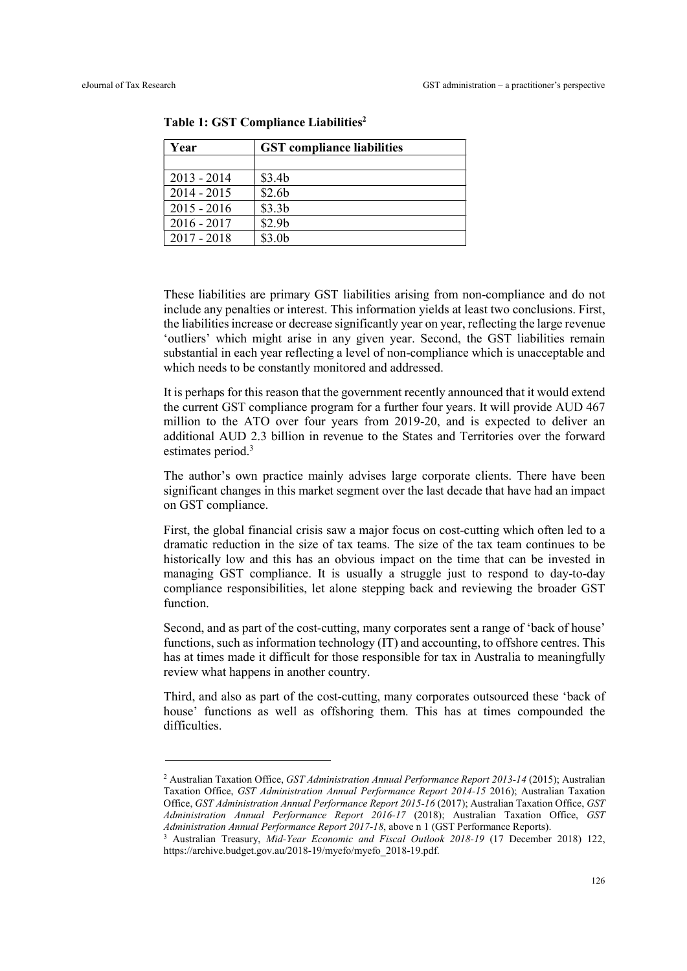-

| Year          | <b>GST</b> compliance liabilities |  |  |
|---------------|-----------------------------------|--|--|
|               |                                   |  |  |
| $2013 - 2014$ | \$3.4 <sub>b</sub>                |  |  |
| $2014 - 2015$ | \$2.6 <sub>b</sub>                |  |  |
| $2015 - 2016$ | \$3.3 <sub>b</sub>                |  |  |
| $2016 - 2017$ | \$2.9 <sub>b</sub>                |  |  |
| $2017 - 2018$ | \$3.0 <sub>b</sub>                |  |  |

Table 1: GST Compliance Liabilities<sup>2</sup>

These liabilities are primary GST liabilities arising from non-compliance and do not include any penalties or interest. This information yields at least two conclusions. First, the liabilities increase or decrease significantly year on year, reflecting the large revenue 'outliers' which might arise in any given year. Second, the GST liabilities remain substantial in each year reflecting a level of non-compliance which is unacceptable and which needs to be constantly monitored and addressed.

It is perhaps for this reason that the government recently announced that it would extend the current GST compliance program for a further four years. It will provide AUD 467 million to the ATO over four years from 2019-20, and is expected to deliver an additional AUD 2.3 billion in revenue to the States and Territories over the forward estimates period.<sup>3</sup>

The author's own practice mainly advises large corporate clients. There have been significant changes in this market segment over the last decade that have had an impact on GST compliance.

First, the global financial crisis saw a major focus on cost-cutting which often led to a dramatic reduction in the size of tax teams. The size of the tax team continues to be historically low and this has an obvious impact on the time that can be invested in managing GST compliance. It is usually a struggle just to respond to day-to-day compliance responsibilities, let alone stepping back and reviewing the broader GST function.

Second, and as part of the cost-cutting, many corporates sent a range of 'back of house' functions, such as information technology (IT) and accounting, to offshore centres. This has at times made it difficult for those responsible for tax in Australia to meaningfully review what happens in another country.

Third, and also as part of the cost-cutting, many corporates outsourced these 'back of house' functions as well as offshoring them. This has at times compounded the difficulties.

<sup>&</sup>lt;sup>2</sup> Australian Taxation Office, GST Administration Annual Performance Report 2013-14 (2015); Australian Taxation Office, GST Administration Annual Performance Report 2014-15 2016); Australian Taxation Office, GST Administration Annual Performance Report 2015-16 (2017); Australian Taxation Office, GST Administration Annual Performance Report 2016-17 (2018); Australian Taxation Office, GST Administration Annual Performance Report 2017-18, above n 1 (GST Performance Reports).

<sup>&</sup>lt;sup>3</sup> Australian Treasury, Mid-Year Economic and Fiscal Outlook 2018-19 (17 December 2018) 122, https://archive.budget.gov.au/2018-19/myefo/myefo\_2018-19.pdf.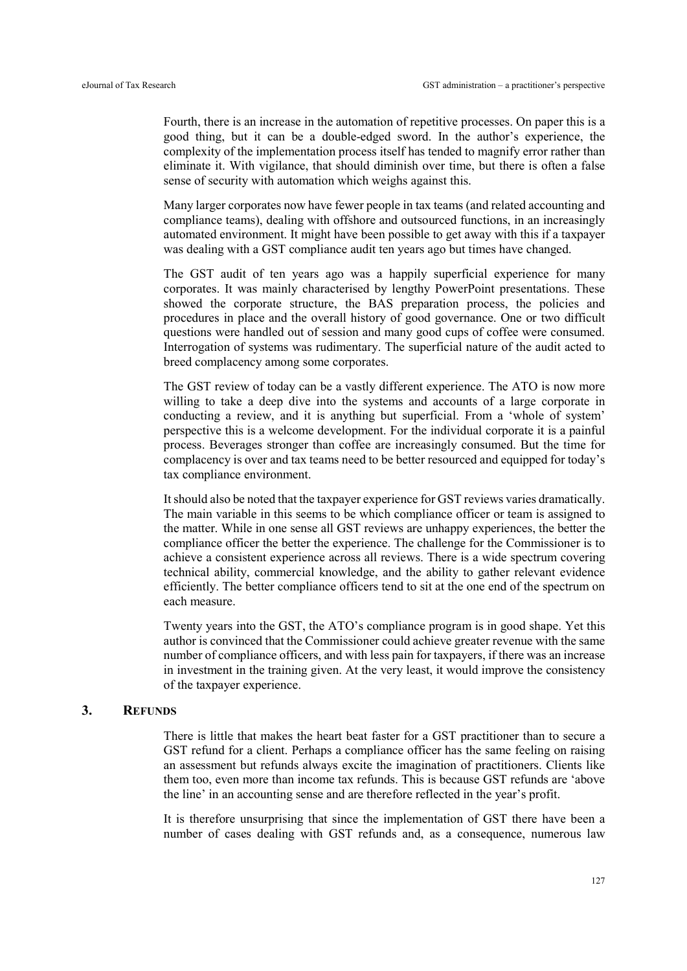Fourth, there is an increase in the automation of repetitive processes. On paper this is a good thing, but it can be a double-edged sword. In the author's experience, the complexity of the implementation process itself has tended to magnify error rather than eliminate it. With vigilance, that should diminish over time, but there is often a false sense of security with automation which weighs against this.

Many larger corporates now have fewer people in tax teams (and related accounting and compliance teams), dealing with offshore and outsourced functions, in an increasingly automated environment. It might have been possible to get away with this if a taxpayer was dealing with a GST compliance audit ten years ago but times have changed.

The GST audit of ten years ago was a happily superficial experience for many corporates. It was mainly characterised by lengthy PowerPoint presentations. These showed the corporate structure, the BAS preparation process, the policies and procedures in place and the overall history of good governance. One or two difficult questions were handled out of session and many good cups of coffee were consumed. Interrogation of systems was rudimentary. The superficial nature of the audit acted to breed complacency among some corporates.

The GST review of today can be a vastly different experience. The ATO is now more willing to take a deep dive into the systems and accounts of a large corporate in conducting a review, and it is anything but superficial. From a 'whole of system' perspective this is a welcome development. For the individual corporate it is a painful process. Beverages stronger than coffee are increasingly consumed. But the time for complacency is over and tax teams need to be better resourced and equipped for today's tax compliance environment.

It should also be noted that the taxpayer experience for GST reviews varies dramatically. The main variable in this seems to be which compliance officer or team is assigned to the matter. While in one sense all GST reviews are unhappy experiences, the better the compliance officer the better the experience. The challenge for the Commissioner is to achieve a consistent experience across all reviews. There is a wide spectrum covering technical ability, commercial knowledge, and the ability to gather relevant evidence efficiently. The better compliance officers tend to sit at the one end of the spectrum on each measure.

Twenty years into the GST, the ATO's compliance program is in good shape. Yet this author is convinced that the Commissioner could achieve greater revenue with the same number of compliance officers, and with less pain for taxpayers, if there was an increase in investment in the training given. At the very least, it would improve the consistency of the taxpayer experience.

#### 3. REFUNDS

There is little that makes the heart beat faster for a GST practitioner than to secure a GST refund for a client. Perhaps a compliance officer has the same feeling on raising an assessment but refunds always excite the imagination of practitioners. Clients like them too, even more than income tax refunds. This is because GST refunds are 'above the line' in an accounting sense and are therefore reflected in the year's profit.

It is therefore unsurprising that since the implementation of GST there have been a number of cases dealing with GST refunds and, as a consequence, numerous law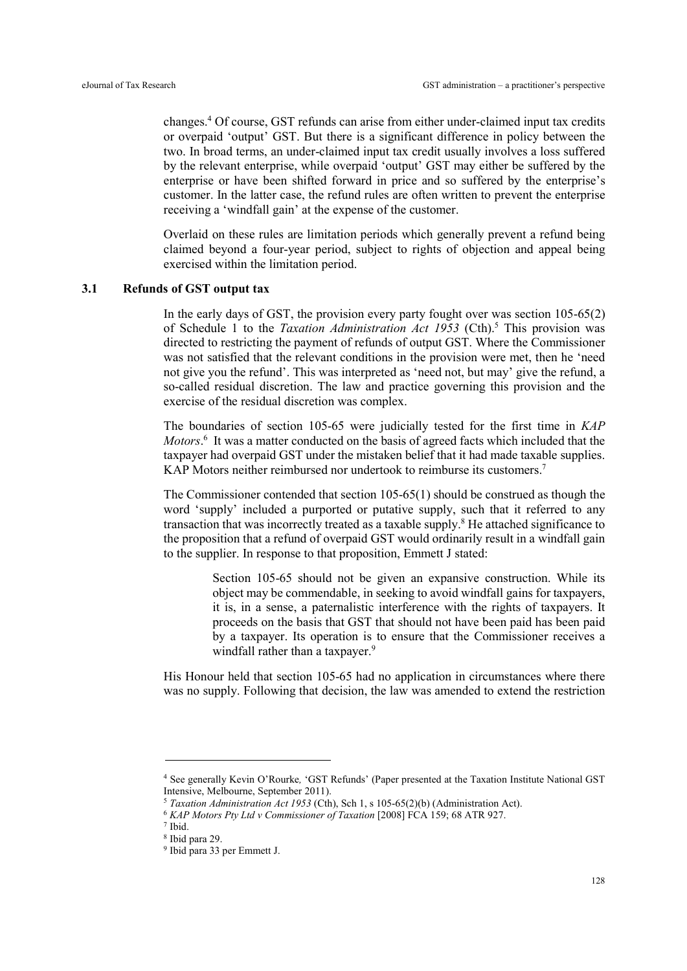changes.<sup>4</sup> Of course, GST refunds can arise from either under-claimed input tax credits or overpaid 'output' GST. But there is a significant difference in policy between the two. In broad terms, an under-claimed input tax credit usually involves a loss suffered by the relevant enterprise, while overpaid 'output' GST may either be suffered by the enterprise or have been shifted forward in price and so suffered by the enterprise's customer. In the latter case, the refund rules are often written to prevent the enterprise receiving a 'windfall gain' at the expense of the customer.

Overlaid on these rules are limitation periods which generally prevent a refund being claimed beyond a four-year period, subject to rights of objection and appeal being exercised within the limitation period.

# 3.1 Refunds of GST output tax

In the early days of GST, the provision every party fought over was section  $105-65(2)$ of Schedule 1 to the Taxation Administration Act 1953 (Cth).<sup>5</sup> This provision was directed to restricting the payment of refunds of output GST. Where the Commissioner was not satisfied that the relevant conditions in the provision were met, then he 'need not give you the refund'. This was interpreted as 'need not, but may' give the refund, a so-called residual discretion. The law and practice governing this provision and the exercise of the residual discretion was complex.

The boundaries of section 105-65 were judicially tested for the first time in KAP Motors.<sup>6</sup> It was a matter conducted on the basis of agreed facts which included that the taxpayer had overpaid GST under the mistaken belief that it had made taxable supplies. KAP Motors neither reimbursed nor undertook to reimburse its customers.<sup>7</sup>

The Commissioner contended that section 105-65(1) should be construed as though the word 'supply' included a purported or putative supply, such that it referred to any transaction that was incorrectly treated as a taxable supply.<sup>8</sup> He attached significance to the proposition that a refund of overpaid GST would ordinarily result in a windfall gain to the supplier. In response to that proposition, Emmett J stated:

> Section 105-65 should not be given an expansive construction. While its object may be commendable, in seeking to avoid windfall gains for taxpayers, it is, in a sense, a paternalistic interference with the rights of taxpayers. It proceeds on the basis that GST that should not have been paid has been paid by a taxpayer. Its operation is to ensure that the Commissioner receives a windfall rather than a taxpayer.<sup>9</sup>

His Honour held that section 105-65 had no application in circumstances where there was no supply. Following that decision, the law was amended to extend the restriction

<sup>4</sup> See generally Kevin O'Rourke, 'GST Refunds' (Paper presented at the Taxation Institute National GST Intensive, Melbourne, September 2011).

<sup>5</sup> Taxation Administration Act 1953 (Cth), Sch 1, s 105-65(2)(b) (Administration Act).

<sup>6</sup> KAP Motors Pty Ltd v Commissioner of Taxation [2008] FCA 159; 68 ATR 927.

<sup>7</sup> Ibid.

<sup>8</sup> Ibid para 29.

<sup>9</sup> Ibid para 33 per Emmett J.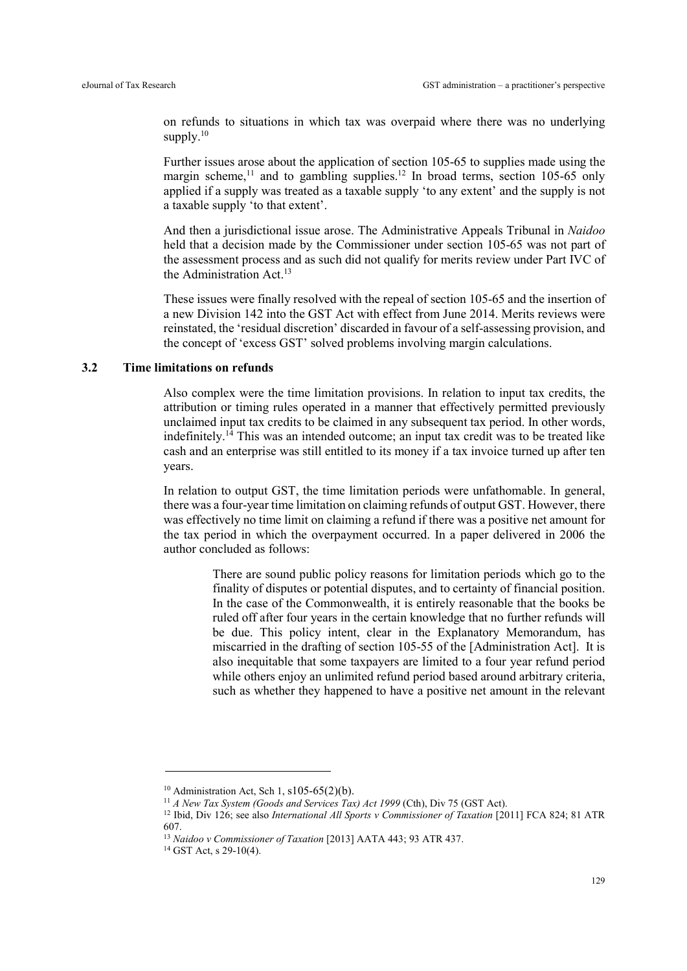on refunds to situations in which tax was overpaid where there was no underlying supply. $10$ 

Further issues arose about the application of section 105-65 to supplies made using the margin scheme,<sup>11</sup> and to gambling supplies.<sup>12</sup> In broad terms, section 105-65 only applied if a supply was treated as a taxable supply 'to any extent' and the supply is not a taxable supply 'to that extent'.

And then a jurisdictional issue arose. The Administrative Appeals Tribunal in Naidoo held that a decision made by the Commissioner under section 105-65 was not part of the assessment process and as such did not qualify for merits review under Part IVC of the Administration Act.<sup>13</sup>

These issues were finally resolved with the repeal of section 105-65 and the insertion of a new Division 142 into the GST Act with effect from June 2014. Merits reviews were reinstated, the 'residual discretion' discarded in favour of a self-assessing provision, and the concept of 'excess GST' solved problems involving margin calculations.

# 3.2 Time limitations on refunds

Also complex were the time limitation provisions. In relation to input tax credits, the attribution or timing rules operated in a manner that effectively permitted previously unclaimed input tax credits to be claimed in any subsequent tax period. In other words, indefinitely.<sup>14</sup> This was an intended outcome; an input tax credit was to be treated like cash and an enterprise was still entitled to its money if a tax invoice turned up after ten years.

In relation to output GST, the time limitation periods were unfathomable. In general, there was a four-year time limitation on claiming refunds of output GST. However, there was effectively no time limit on claiming a refund if there was a positive net amount for the tax period in which the overpayment occurred. In a paper delivered in 2006 the author concluded as follows:

> There are sound public policy reasons for limitation periods which go to the finality of disputes or potential disputes, and to certainty of financial position. In the case of the Commonwealth, it is entirely reasonable that the books be ruled off after four years in the certain knowledge that no further refunds will be due. This policy intent, clear in the Explanatory Memorandum, has miscarried in the drafting of section 105-55 of the [Administration Act]. It is also inequitable that some taxpayers are limited to a four year refund period while others enjoy an unlimited refund period based around arbitrary criteria, such as whether they happened to have a positive net amount in the relevant

<sup>&</sup>lt;sup>10</sup> Administration Act, Sch 1, s105-65(2)(b).

 $11$  A New Tax System (Goods and Services Tax) Act 1999 (Cth), Div 75 (GST Act).

<sup>&</sup>lt;sup>12</sup> Ibid, Div 126; see also *International All Sports v Commissioner of Taxation* [2011] FCA 824; 81 ATR 607.

<sup>13</sup> Naidoo v Commissioner of Taxation [2013] AATA 443; 93 ATR 437.

<sup>14</sup> GST Act, s 29-10(4).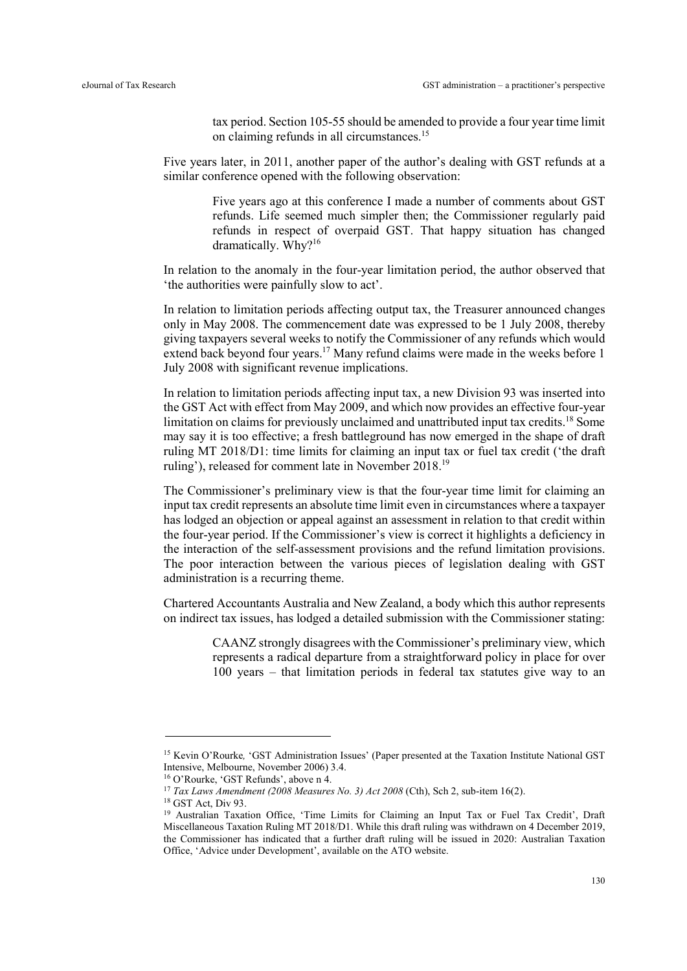tax period. Section 105-55 should be amended to provide a four year time limit on claiming refunds in all circumstances.<sup>15</sup>

Five years later, in 2011, another paper of the author's dealing with GST refunds at a similar conference opened with the following observation:

> Five years ago at this conference I made a number of comments about GST refunds. Life seemed much simpler then; the Commissioner regularly paid refunds in respect of overpaid GST. That happy situation has changed dramatically. Why?<sup>16</sup>

In relation to the anomaly in the four-year limitation period, the author observed that 'the authorities were painfully slow to act'.

In relation to limitation periods affecting output tax, the Treasurer announced changes only in May 2008. The commencement date was expressed to be 1 July 2008, thereby giving taxpayers several weeks to notify the Commissioner of any refunds which would extend back beyond four years.<sup>17</sup> Many refund claims were made in the weeks before 1 July 2008 with significant revenue implications.

In relation to limitation periods affecting input tax, a new Division 93 was inserted into the GST Act with effect from May 2009, and which now provides an effective four-year limitation on claims for previously unclaimed and unattributed input tax credits.<sup>18</sup> Some may say it is too effective; a fresh battleground has now emerged in the shape of draft ruling MT 2018/D1: time limits for claiming an input tax or fuel tax credit ('the draft ruling'), released for comment late in November 2018.<sup>19</sup>

The Commissioner's preliminary view is that the four-year time limit for claiming an input tax credit represents an absolute time limit even in circumstances where a taxpayer has lodged an objection or appeal against an assessment in relation to that credit within the four-year period. If the Commissioner's view is correct it highlights a deficiency in the interaction of the self-assessment provisions and the refund limitation provisions. The poor interaction between the various pieces of legislation dealing with GST administration is a recurring theme.

Chartered Accountants Australia and New Zealand, a body which this author represents on indirect tax issues, has lodged a detailed submission with the Commissioner stating:

> CAANZ strongly disagrees with the Commissioner's preliminary view, which represents a radical departure from a straightforward policy in place for over 100 years – that limitation periods in federal tax statutes give way to an

<sup>&</sup>lt;sup>15</sup> Kevin O'Rourke, 'GST Administration Issues' (Paper presented at the Taxation Institute National GST Intensive, Melbourne, November 2006) 3.4.

<sup>16</sup> O'Rourke, 'GST Refunds', above n 4.

<sup>&</sup>lt;sup>17</sup> Tax Laws Amendment (2008 Measures No. 3) Act 2008 (Cth), Sch 2, sub-item 16(2).

 $18$  GST Act, Div 93.

<sup>&</sup>lt;sup>19</sup> Australian Taxation Office, 'Time Limits for Claiming an Input Tax or Fuel Tax Credit', Draft Miscellaneous Taxation Ruling MT 2018/D1. While this draft ruling was withdrawn on 4 December 2019, the Commissioner has indicated that a further draft ruling will be issued in 2020: Australian Taxation Office, 'Advice under Development', available on the ATO website.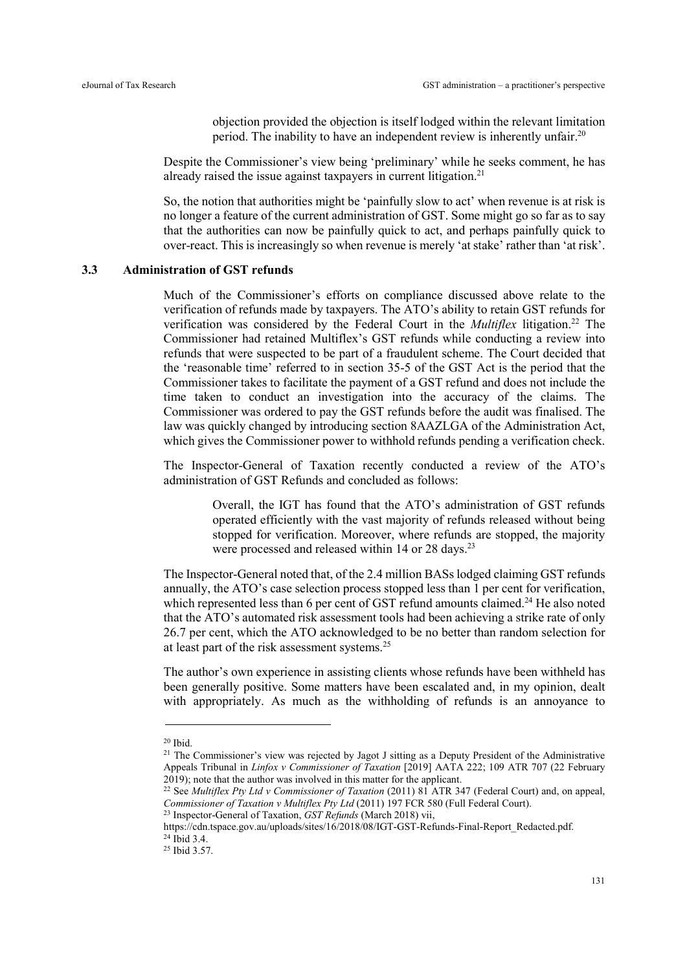objection provided the objection is itself lodged within the relevant limitation period. The inability to have an independent review is inherently unfair.<sup>20</sup>

Despite the Commissioner's view being 'preliminary' while he seeks comment, he has already raised the issue against taxpayers in current litigation.<sup>21</sup>

So, the notion that authorities might be 'painfully slow to act' when revenue is at risk is no longer a feature of the current administration of GST. Some might go so far as to say that the authorities can now be painfully quick to act, and perhaps painfully quick to over-react. This is increasingly so when revenue is merely 'at stake' rather than 'at risk'.

#### 3.3 Administration of GST refunds

Much of the Commissioner's efforts on compliance discussed above relate to the verification of refunds made by taxpayers. The ATO's ability to retain GST refunds for verification was considered by the Federal Court in the *Multiflex* litigation.<sup>22</sup> The Commissioner had retained Multiflex's GST refunds while conducting a review into refunds that were suspected to be part of a fraudulent scheme. The Court decided that the 'reasonable time' referred to in section 35-5 of the GST Act is the period that the Commissioner takes to facilitate the payment of a GST refund and does not include the time taken to conduct an investigation into the accuracy of the claims. The Commissioner was ordered to pay the GST refunds before the audit was finalised. The law was quickly changed by introducing section 8AAZLGA of the Administration Act, which gives the Commissioner power to withhold refunds pending a verification check.

The Inspector-General of Taxation recently conducted a review of the ATO's administration of GST Refunds and concluded as follows:

> Overall, the IGT has found that the ATO's administration of GST refunds operated efficiently with the vast majority of refunds released without being stopped for verification. Moreover, where refunds are stopped, the majority were processed and released within 14 or 28 days.<sup>23</sup>

The Inspector-General noted that, of the 2.4 million BASs lodged claiming GST refunds annually, the ATO's case selection process stopped less than 1 per cent for verification, which represented less than 6 per cent of GST refund amounts claimed.<sup>24</sup> He also noted that the ATO's automated risk assessment tools had been achieving a strike rate of only 26.7 per cent, which the ATO acknowledged to be no better than random selection for at least part of the risk assessment systems.<sup>25</sup>

The author's own experience in assisting clients whose refunds have been withheld has been generally positive. Some matters have been escalated and, in my opinion, dealt with appropriately. As much as the withholding of refunds is an annoyance to

 $20$  Ibid.

<sup>&</sup>lt;sup>21</sup> The Commissioner's view was rejected by Jagot J sitting as a Deputy President of the Administrative Appeals Tribunal in Linfox v Commissioner of Taxation [2019] AATA 222; 109 ATR 707 (22 February 2019); note that the author was involved in this matter for the applicant.

<sup>&</sup>lt;sup>22</sup> See *Multiflex Pty Ltd v Commissioner of Taxation* (2011) 81 ATR 347 (Federal Court) and, on appeal, Commissioner of Taxation v Multiflex Pty Ltd (2011) 197 FCR 580 (Full Federal Court).

 $23$  Inspector-General of Taxation, *GST Refunds* (March 2018) vii,

https://cdn.tspace.gov.au/uploads/sites/16/2018/08/IGT-GST-Refunds-Final-Report\_Redacted.pdf.  $^{24}$  Ibid 3.4.

<sup>25</sup> Ibid 3.57.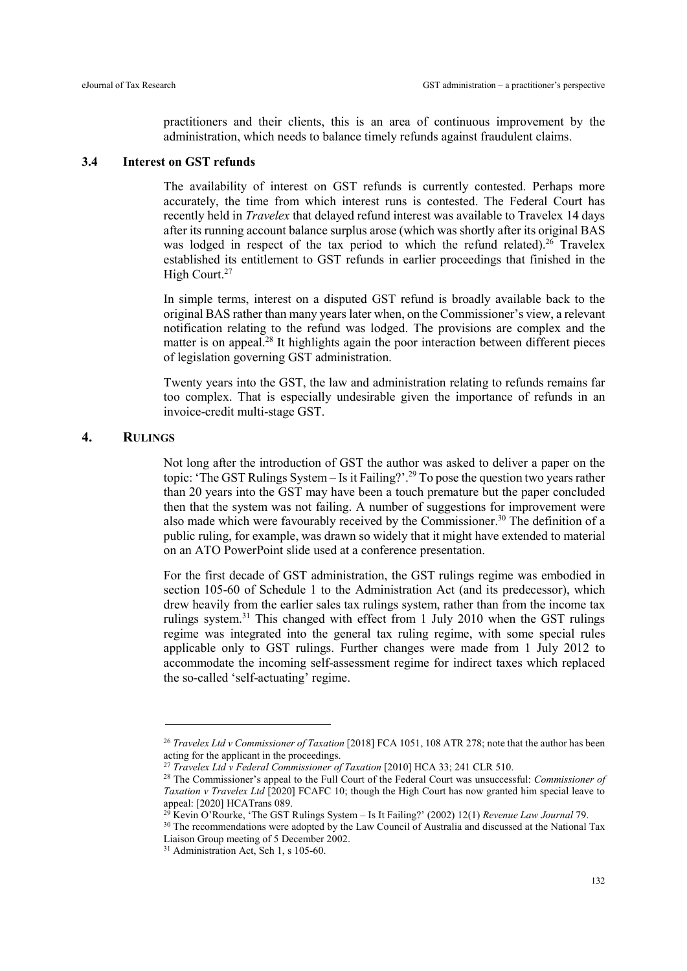practitioners and their clients, this is an area of continuous improvement by the administration, which needs to balance timely refunds against fraudulent claims.

# 3.4 Interest on GST refunds

The availability of interest on GST refunds is currently contested. Perhaps more accurately, the time from which interest runs is contested. The Federal Court has recently held in Travelex that delayed refund interest was available to Travelex 14 days after its running account balance surplus arose (which was shortly after its original BAS was lodged in respect of the tax period to which the refund related).<sup>26</sup> Travelex established its entitlement to GST refunds in earlier proceedings that finished in the High Court.<sup>27</sup>

In simple terms, interest on a disputed GST refund is broadly available back to the original BAS rather than many years later when, on the Commissioner's view, a relevant notification relating to the refund was lodged. The provisions are complex and the matter is on appeal.<sup>28</sup> It highlights again the poor interaction between different pieces of legislation governing GST administration.

Twenty years into the GST, the law and administration relating to refunds remains far too complex. That is especially undesirable given the importance of refunds in an invoice-credit multi-stage GST.

### 4. RULINGS

-

Not long after the introduction of GST the author was asked to deliver a paper on the topic: 'The GST Rulings System – Is it Failing?'.<sup>29</sup> To pose the question two years rather than 20 years into the GST may have been a touch premature but the paper concluded then that the system was not failing. A number of suggestions for improvement were also made which were favourably received by the Commissioner.<sup>30</sup> The definition of a public ruling, for example, was drawn so widely that it might have extended to material on an ATO PowerPoint slide used at a conference presentation.

For the first decade of GST administration, the GST rulings regime was embodied in section 105-60 of Schedule 1 to the Administration Act (and its predecessor), which drew heavily from the earlier sales tax rulings system, rather than from the income tax rulings system.<sup>31</sup> This changed with effect from 1 July 2010 when the GST rulings regime was integrated into the general tax ruling regime, with some special rules applicable only to GST rulings. Further changes were made from 1 July 2012 to accommodate the incoming self-assessment regime for indirect taxes which replaced the so-called 'self-actuating' regime.

<sup>&</sup>lt;sup>26</sup> Travelex Ltd v Commissioner of Taxation [2018] FCA 1051, 108 ATR 278; note that the author has been acting for the applicant in the proceedings.

<sup>27</sup> Travelex Ltd v Federal Commissioner of Taxation [2010] HCA 33; 241 CLR 510.

<sup>&</sup>lt;sup>28</sup> The Commissioner's appeal to the Full Court of the Federal Court was unsuccessful: Commissioner of Taxation v Travelex Ltd  $\hat{2}020$ ] FCAFC 10; though the High Court has now granted him special leave to appeal: [2020] HCATrans 089.

 $^{29}$  Kevin O'Rourke, 'The GST Rulings System – Is It Failing?' (2002) 12(1) Revenue Law Journal 79.

<sup>&</sup>lt;sup>30</sup> The recommendations were adopted by the Law Council of Australia and discussed at the National Tax Liaison Group meeting of 5 December 2002.

<sup>&</sup>lt;sup>31</sup> Administration Act, Sch 1, s 105-60.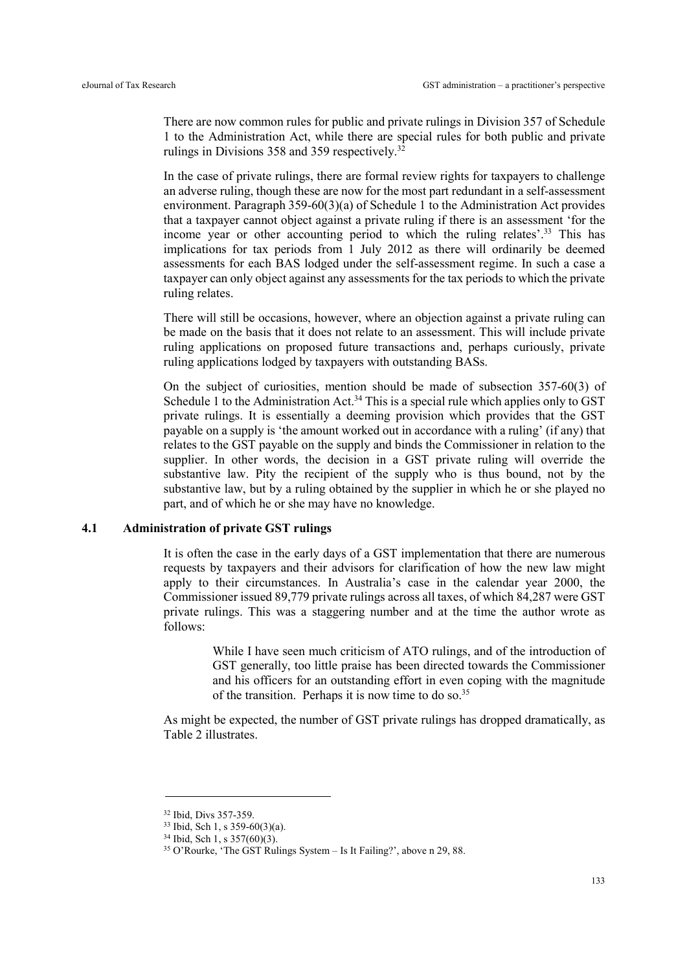There are now common rules for public and private rulings in Division 357 of Schedule 1 to the Administration Act, while there are special rules for both public and private rulings in Divisions 358 and 359 respectively.<sup>32</sup>

In the case of private rulings, there are formal review rights for taxpayers to challenge an adverse ruling, though these are now for the most part redundant in a self-assessment environment. Paragraph 359-60(3)(a) of Schedule 1 to the Administration Act provides that a taxpayer cannot object against a private ruling if there is an assessment 'for the income year or other accounting period to which the ruling relates'.<sup>33</sup> This has implications for tax periods from 1 July 2012 as there will ordinarily be deemed assessments for each BAS lodged under the self-assessment regime. In such a case a taxpayer can only object against any assessments for the tax periods to which the private ruling relates.

There will still be occasions, however, where an objection against a private ruling can be made on the basis that it does not relate to an assessment. This will include private ruling applications on proposed future transactions and, perhaps curiously, private ruling applications lodged by taxpayers with outstanding BASs.

On the subject of curiosities, mention should be made of subsection 357-60(3) of Schedule 1 to the Administration Act.<sup>34</sup> This is a special rule which applies only to GST private rulings. It is essentially a deeming provision which provides that the GST payable on a supply is 'the amount worked out in accordance with a ruling' (if any) that relates to the GST payable on the supply and binds the Commissioner in relation to the supplier. In other words, the decision in a GST private ruling will override the substantive law. Pity the recipient of the supply who is thus bound, not by the substantive law, but by a ruling obtained by the supplier in which he or she played no part, and of which he or she may have no knowledge.

# 4.1 Administration of private GST rulings

It is often the case in the early days of a GST implementation that there are numerous requests by taxpayers and their advisors for clarification of how the new law might apply to their circumstances. In Australia's case in the calendar year 2000, the Commissioner issued 89,779 private rulings across all taxes, of which 84,287 were GST private rulings. This was a staggering number and at the time the author wrote as follows:

> While I have seen much criticism of ATO rulings, and of the introduction of GST generally, too little praise has been directed towards the Commissioner and his officers for an outstanding effort in even coping with the magnitude of the transition. Perhaps it is now time to do so.<sup>35</sup>

As might be expected, the number of GST private rulings has dropped dramatically, as Table 2 illustrates.

<sup>32</sup> Ibid, Divs 357-359.

<sup>33</sup> Ibid, Sch 1, s 359-60(3)(a).

<sup>34</sup> Ibid, Sch 1, s 357(60)(3).

<sup>35</sup> O'Rourke, 'The GST Rulings System – Is It Failing?', above n 29, 88.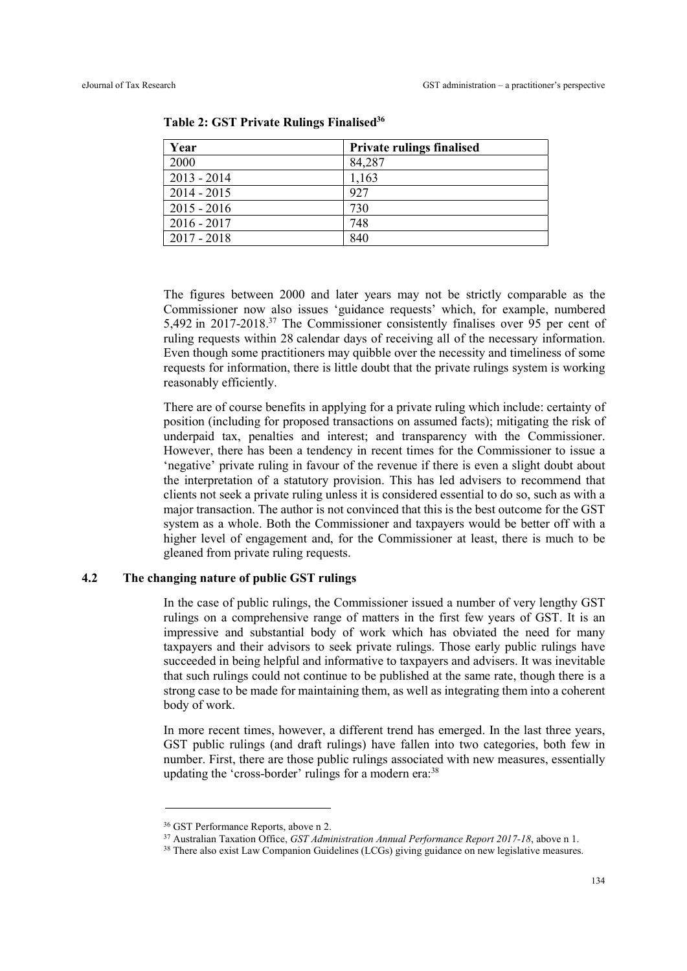| Year          | <b>Private rulings finalised</b> |
|---------------|----------------------------------|
| 2000          | 84,287                           |
| $2013 - 2014$ | 1,163                            |
| $2014 - 2015$ | 927                              |
| $2015 - 2016$ | 730                              |
| $2016 - 2017$ | 748                              |
| $2017 - 2018$ | 840                              |

Table 2: GST Private Rulings Finalised<sup>36</sup>

The figures between 2000 and later years may not be strictly comparable as the Commissioner now also issues 'guidance requests' which, for example, numbered 5,492 in 2017-2018.<sup>37</sup> The Commissioner consistently finalises over 95 per cent of ruling requests within 28 calendar days of receiving all of the necessary information. Even though some practitioners may quibble over the necessity and timeliness of some requests for information, there is little doubt that the private rulings system is working reasonably efficiently.

There are of course benefits in applying for a private ruling which include: certainty of position (including for proposed transactions on assumed facts); mitigating the risk of underpaid tax, penalties and interest; and transparency with the Commissioner. However, there has been a tendency in recent times for the Commissioner to issue a 'negative' private ruling in favour of the revenue if there is even a slight doubt about the interpretation of a statutory provision. This has led advisers to recommend that clients not seek a private ruling unless it is considered essential to do so, such as with a major transaction. The author is not convinced that this is the best outcome for the GST system as a whole. Both the Commissioner and taxpayers would be better off with a higher level of engagement and, for the Commissioner at least, there is much to be gleaned from private ruling requests.

# 4.2 The changing nature of public GST rulings

In the case of public rulings, the Commissioner issued a number of very lengthy GST rulings on a comprehensive range of matters in the first few years of GST. It is an impressive and substantial body of work which has obviated the need for many taxpayers and their advisors to seek private rulings. Those early public rulings have succeeded in being helpful and informative to taxpayers and advisers. It was inevitable that such rulings could not continue to be published at the same rate, though there is a strong case to be made for maintaining them, as well as integrating them into a coherent body of work.

In more recent times, however, a different trend has emerged. In the last three years, GST public rulings (and draft rulings) have fallen into two categories, both few in number. First, there are those public rulings associated with new measures, essentially updating the 'cross-border' rulings for a modern era: $38$ 

<sup>36</sup> GST Performance Reports, above n 2.

<sup>&</sup>lt;sup>37</sup> Australian Taxation Office, *GST Administration Annual Performance Report 2017-18*, above n 1.

<sup>&</sup>lt;sup>38</sup> There also exist Law Companion Guidelines (LCGs) giving guidance on new legislative measures.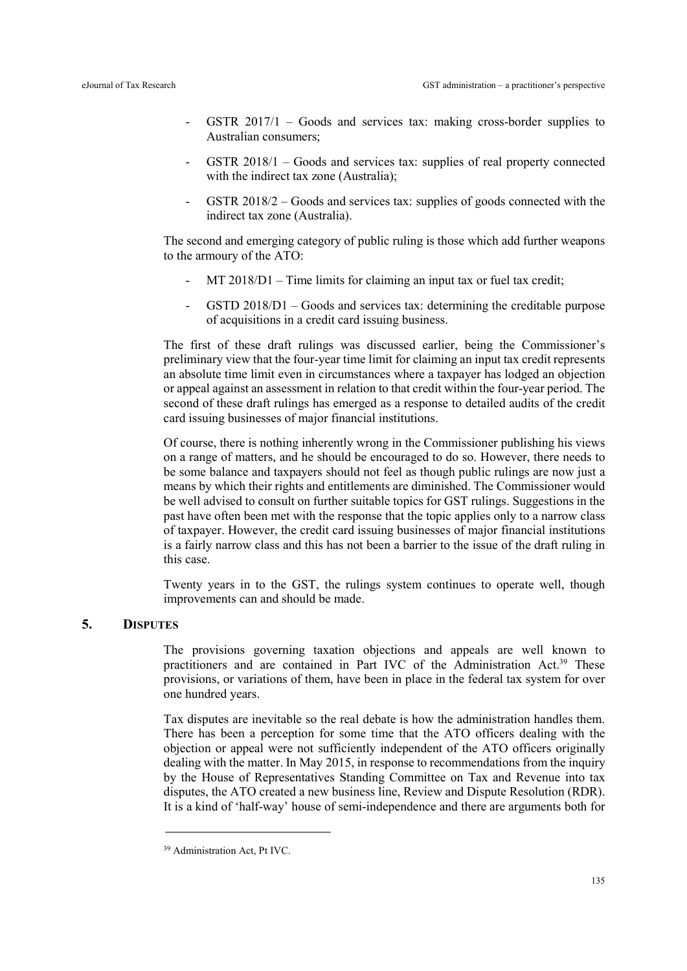- GSTR  $2017/1$  Goods and services tax: making cross-border supplies to Australian consumers;
- GSTR 2018/1 Goods and services tax: supplies of real property connected with the indirect tax zone (Australia);
- GSTR 2018/2 Goods and services tax: supplies of goods connected with the indirect tax zone (Australia).

The second and emerging category of public ruling is those which add further weapons to the armoury of the ATO:

- $MT 2018/D1 Time$  limits for claiming an input tax or fuel tax credit;
- GSTD 2018/D1 Goods and services tax: determining the creditable purpose of acquisitions in a credit card issuing business.

The first of these draft rulings was discussed earlier, being the Commissioner's preliminary view that the four-year time limit for claiming an input tax credit represents an absolute time limit even in circumstances where a taxpayer has lodged an objection or appeal against an assessment in relation to that credit within the four-year period. The second of these draft rulings has emerged as a response to detailed audits of the credit card issuing businesses of major financial institutions.

Of course, there is nothing inherently wrong in the Commissioner publishing his views on a range of matters, and he should be encouraged to do so. However, there needs to be some balance and taxpayers should not feel as though public rulings are now just a means by which their rights and entitlements are diminished. The Commissioner would be well advised to consult on further suitable topics for GST rulings. Suggestions in the past have often been met with the response that the topic applies only to a narrow class of taxpayer. However, the credit card issuing businesses of major financial institutions is a fairly narrow class and this has not been a barrier to the issue of the draft ruling in this case.

Twenty years in to the GST, the rulings system continues to operate well, though improvements can and should be made.

# 5. DISPUTES

The provisions governing taxation objections and appeals are well known to practitioners and are contained in Part IVC of the Administration Act.<sup>39</sup> These provisions, or variations of them, have been in place in the federal tax system for over one hundred years.

Tax disputes are inevitable so the real debate is how the administration handles them. There has been a perception for some time that the ATO officers dealing with the objection or appeal were not sufficiently independent of the ATO officers originally dealing with the matter. In May 2015, in response to recommendations from the inquiry by the House of Representatives Standing Committee on Tax and Revenue into tax disputes, the ATO created a new business line, Review and Dispute Resolution (RDR). It is a kind of 'half-way' house of semi-independence and there are arguments both for

<sup>39</sup> Administration Act, Pt IVC.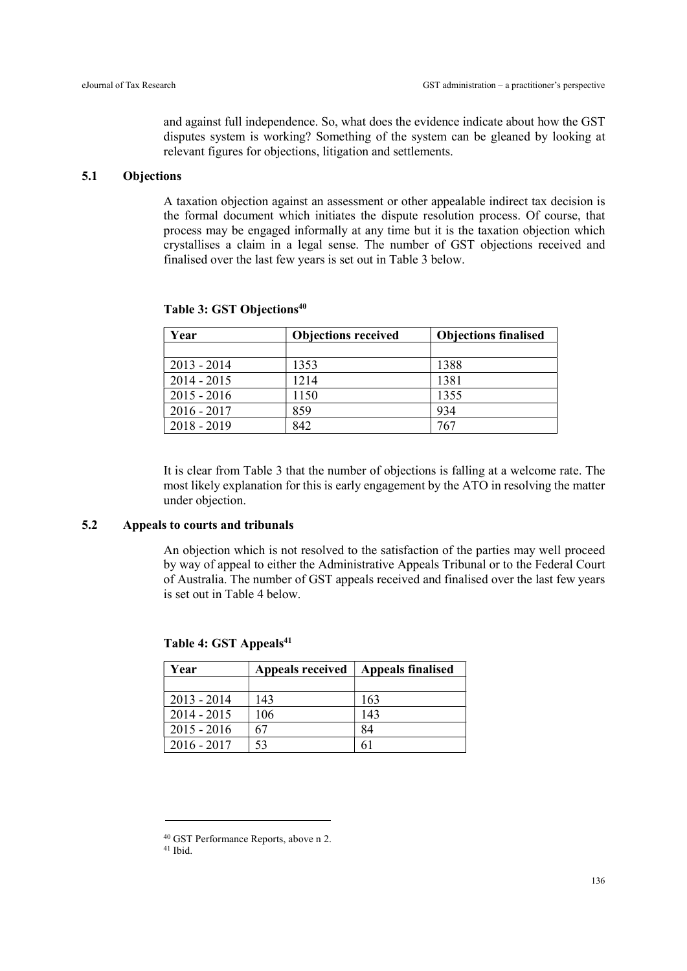and against full independence. So, what does the evidence indicate about how the GST disputes system is working? Something of the system can be gleaned by looking at relevant figures for objections, litigation and settlements.

### 5.1 Objections

A taxation objection against an assessment or other appealable indirect tax decision is the formal document which initiates the dispute resolution process. Of course, that process may be engaged informally at any time but it is the taxation objection which crystallises a claim in a legal sense. The number of GST objections received and finalised over the last few years is set out in Table 3 below.

| Year          | <b>Objections received</b> | <b>Objections finalised</b> |
|---------------|----------------------------|-----------------------------|
|               |                            |                             |
| $2013 - 2014$ | 1353                       | 1388                        |
| $2014 - 2015$ | 1214                       | 1381                        |
| $2015 - 2016$ | 1150                       | 1355                        |
| $2016 - 2017$ | 859                        | 934                         |
| $2018 - 2019$ | 842                        | 767                         |

Table 3: GST Objections<sup>40</sup>

It is clear from Table 3 that the number of objections is falling at a welcome rate. The most likely explanation for this is early engagement by the ATO in resolving the matter under objection.

# 5.2 Appeals to courts and tribunals

-

An objection which is not resolved to the satisfaction of the parties may well proceed by way of appeal to either the Administrative Appeals Tribunal or to the Federal Court of Australia. The number of GST appeals received and finalised over the last few years is set out in Table 4 below.

| Year          | <b>Appeals received</b> | <b>Appeals finalised</b> |  |
|---------------|-------------------------|--------------------------|--|
|               |                         |                          |  |
| $2013 - 2014$ | 143                     | 163                      |  |
| $2014 - 2015$ | 106                     | 143                      |  |
| $2015 - 2016$ | 67                      | 84                       |  |
| $2016 - 2017$ | 53                      | 61                       |  |

Table 4: GST Appeals<sup>41</sup>

<sup>40</sup> GST Performance Reports, above n 2. 41 Ibid.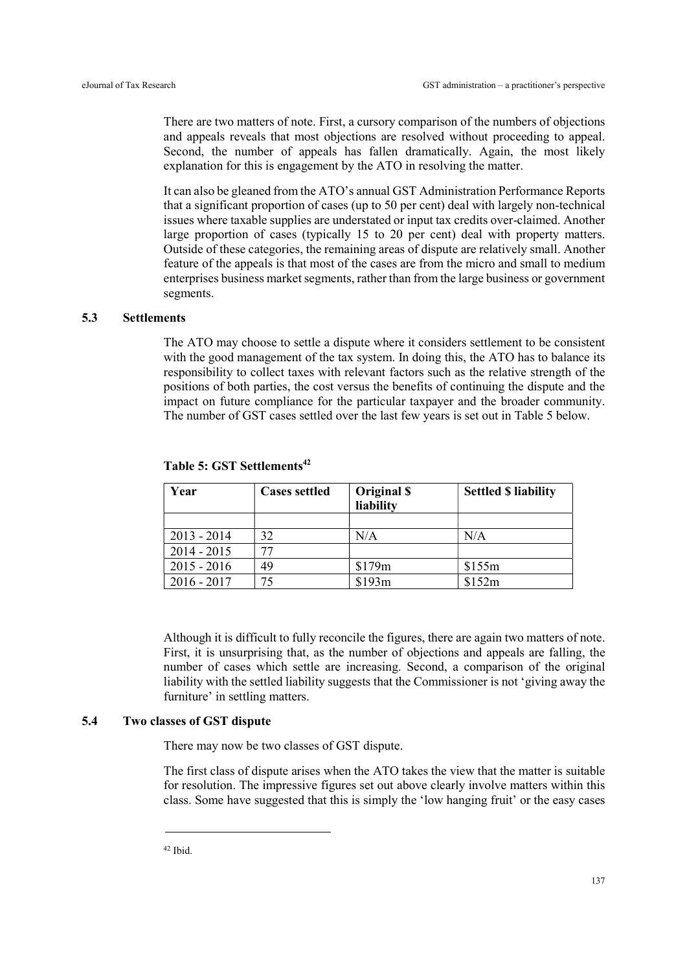There are two matters of note. First, a cursory comparison of the numbers of objections and appeals reveals that most objections are resolved without proceeding to appeal. Second, the number of appeals has fallen dramatically. Again, the most likely explanation for this is engagement by the ATO in resolving the matter.

It can also be gleaned from the ATO's annual GST Administration Performance Reports that a significant proportion of cases (up to 50 per cent) deal with largely non-technical issues where taxable supplies are understated or input tax credits over-claimed. Another large proportion of cases (typically 15 to 20 per cent) deal with property matters. Outside of these categories, the remaining areas of dispute are relatively small. Another feature of the appeals is that most of the cases are from the micro and small to medium enterprises business market segments, rather than from the large business or government segments.

#### 5.3 Settlements

The ATO may choose to settle a dispute where it considers settlement to be consistent with the good management of the tax system. In doing this, the ATO has to balance its responsibility to collect taxes with relevant factors such as the relative strength of the positions of both parties, the cost versus the benefits of continuing the dispute and the impact on future compliance for the particular taxpayer and the broader community. The number of GST cases settled over the last few years is set out in Table 5 below.

| Year          | <b>Cases settled</b> | Original \$<br>liability | <b>Settled \$ liability</b> |
|---------------|----------------------|--------------------------|-----------------------------|
|               |                      |                          |                             |
| $2013 - 2014$ | 32                   | N/A                      | N/A                         |
| $2014 - 2015$ |                      |                          |                             |
| $2015 - 2016$ | 49                   | \$179m                   | \$155m                      |
| $2016 - 2017$ |                      | \$193m                   | \$152m                      |

Table 5: GST Settlements<sup>42</sup>

Although it is difficult to fully reconcile the figures, there are again two matters of note. First, it is unsurprising that, as the number of objections and appeals are falling, the number of cases which settle are increasing. Second, a comparison of the original liability with the settled liability suggests that the Commissioner is not 'giving away the furniture' in settling matters.

#### 5.4 Two classes of GST dispute

There may now be two classes of GST dispute.

The first class of dispute arises when the ATO takes the view that the matter is suitable for resolution. The impressive figures set out above clearly involve matters within this class. Some have suggested that this is simply the 'low hanging fruit' or the easy cases

42 Ibid.